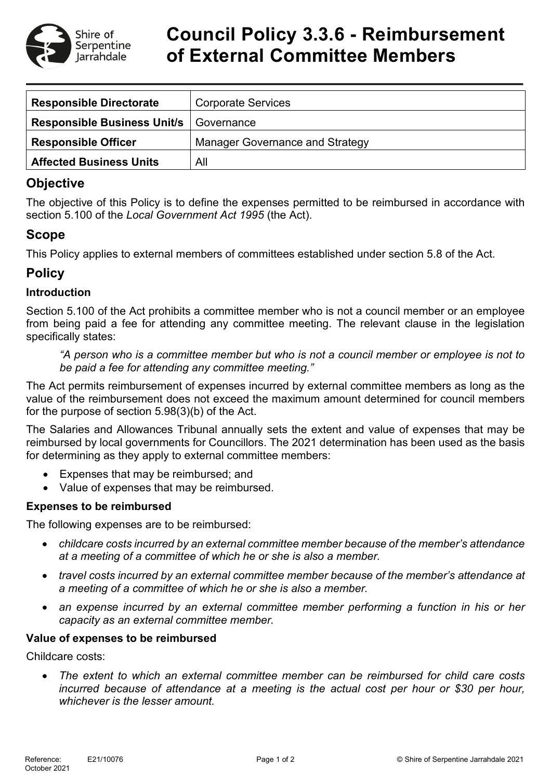

# **Council Policy 3.3.6 - Reimbursement of External Committee Members**

| <b>Responsible Directorate</b>     | <b>Corporate Services</b>              |
|------------------------------------|----------------------------------------|
| <b>Responsible Business Unit/s</b> | ⊩Governance                            |
| <b>Responsible Officer</b>         | <b>Manager Governance and Strategy</b> |
| <b>Affected Business Units</b>     | All                                    |

# **Objective**

The objective of this Policy is to define the expenses permitted to be reimbursed in accordance with section 5.100 of the *Local Government Act 1995* (the Act).

# **Scope**

This Policy applies to external members of committees established under section 5.8 of the Act.

# **Policy**

## **Introduction**

Section 5.100 of the Act prohibits a committee member who is not a council member or an employee from being paid a fee for attending any committee meeting. The relevant clause in the legislation specifically states:

*"A person who is a committee member but who is not a council member or employee is not to be paid a fee for attending any committee meeting."*

The Act permits reimbursement of expenses incurred by external committee members as long as the value of the reimbursement does not exceed the maximum amount determined for council members for the purpose of section 5.98(3)(b) of the Act.

The Salaries and Allowances Tribunal annually sets the extent and value of expenses that may be reimbursed by local governments for Councillors. The 2021 determination has been used as the basis for determining as they apply to external committee members:

- Expenses that may be reimbursed; and
- Value of expenses that may be reimbursed.

## **Expenses to be reimbursed**

The following expenses are to be reimbursed:

- *childcare costs incurred by an external committee member because of the member's attendance at a meeting of a committee of which he or she is also a member.*
- *travel costs incurred by an external committee member because of the member's attendance at a meeting of a committee of which he or she is also a member.*
- *an expense incurred by an external committee member performing a function in his or her capacity as an external committee member.*

### **Value of expenses to be reimbursed**

Childcare costs:

• *The extent to which an external committee member can be reimbursed for child care costs incurred because of attendance at a meeting is the actual cost per hour or \$30 per hour, whichever is the lesser amount.*